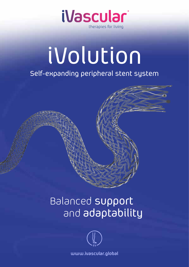

# iVolution

### Self-expanding peripheral stent system

### Balanced support and adaptability



**www.ivascular.global**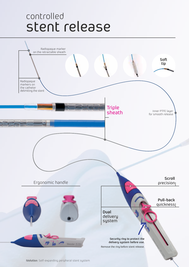### stent release controlled

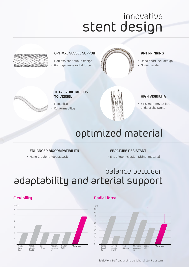# stent design innovative



### **OPTIMAL VESSEL SUPPORT**

- Linkless continuous design
- Homogeneous radial force



#### **anti-kinking**

- Open short-cell design
- No fish scale



#### **Total adaptability to vessel**

Flexibility

Conformability



### **high visibility**

4 RO markers on both ends of the stent

# optimized material

### **ENHANCED BIOCOMPATIBILITY**

Nano Gradient Repassivation

#### **FRACTURE RESISTANT**

Extra low inclusion Nitinol material

### adaptability and arterial support balance between



### **Flexibility Radial force**



**iVolution**: Self-expanding peripheral stent system